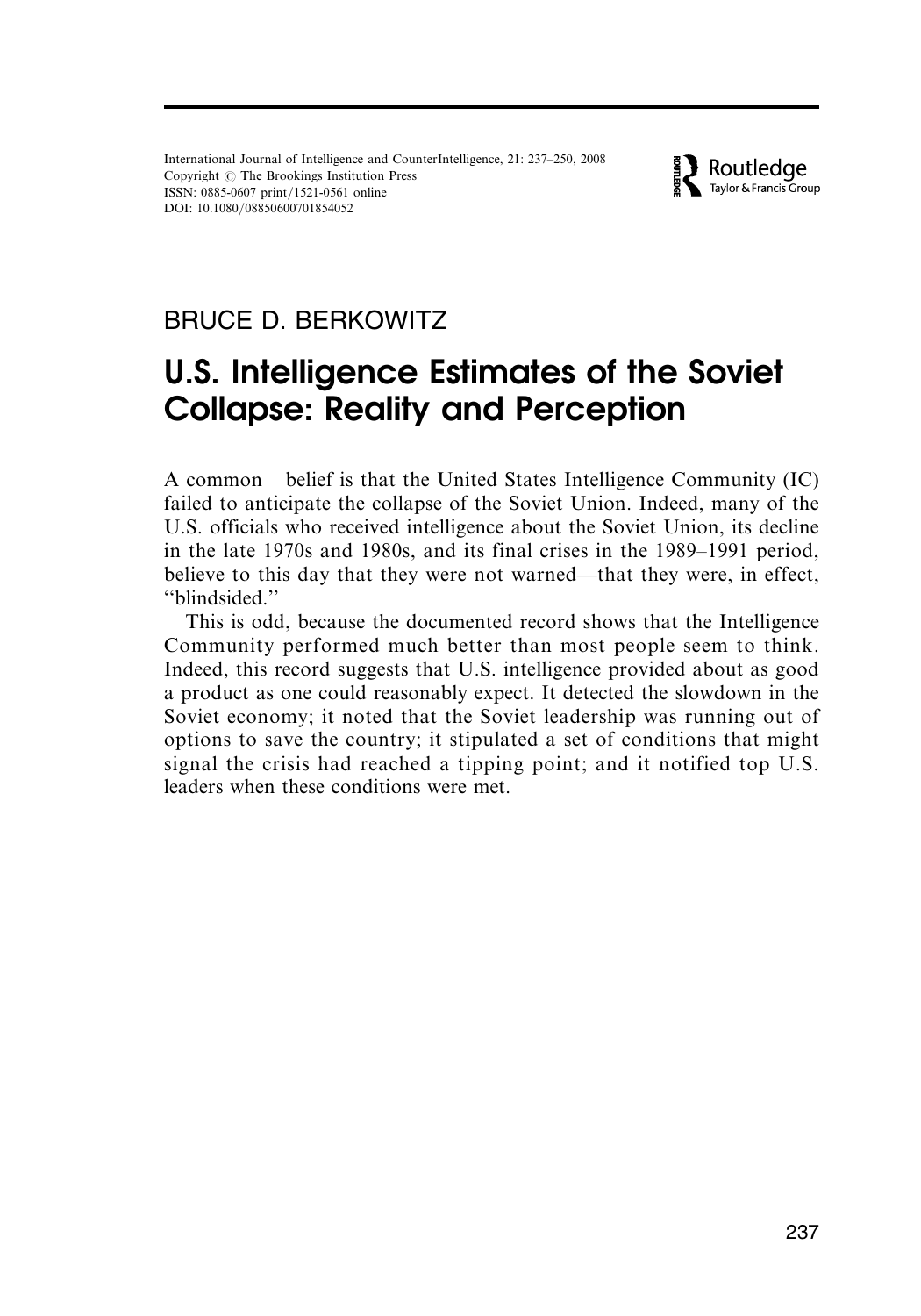International Journal of Intelligence and CounterIntelligence, 21: 237–250, 2008 Copyright  $\odot$  The Brookings Institution Press ISSN: 0885-0607 print/1521-0561 online DOI: 10.1080/08850600701854052



# BRUCE D. BERKOWITZ

# U.S. Intelligence Estimates of the Soviet Collapse: Reality and Perception

A common belief is that the United States Intelligence Community (IC) failed to anticipate the collapse of the Soviet Union. Indeed, many of the U.S. officials who received intelligence about the Soviet Union, its decline in the late 1970s and 1980s, and its final crises in the 1989–1991 period, believe to this day that they were not warned—that they were, in effect, ''blindsided.''

This is odd, because the documented record shows that the Intelligence Community performed much better than most people seem to think. Indeed, this record suggests that U.S. intelligence provided about as good a product as one could reasonably expect. It detected the slowdown in the Soviet economy; it noted that the Soviet leadership was running out of options to save the country; it stipulated a set of conditions that might signal the crisis had reached a tipping point; and it notified top U.S. leaders when these conditions were met.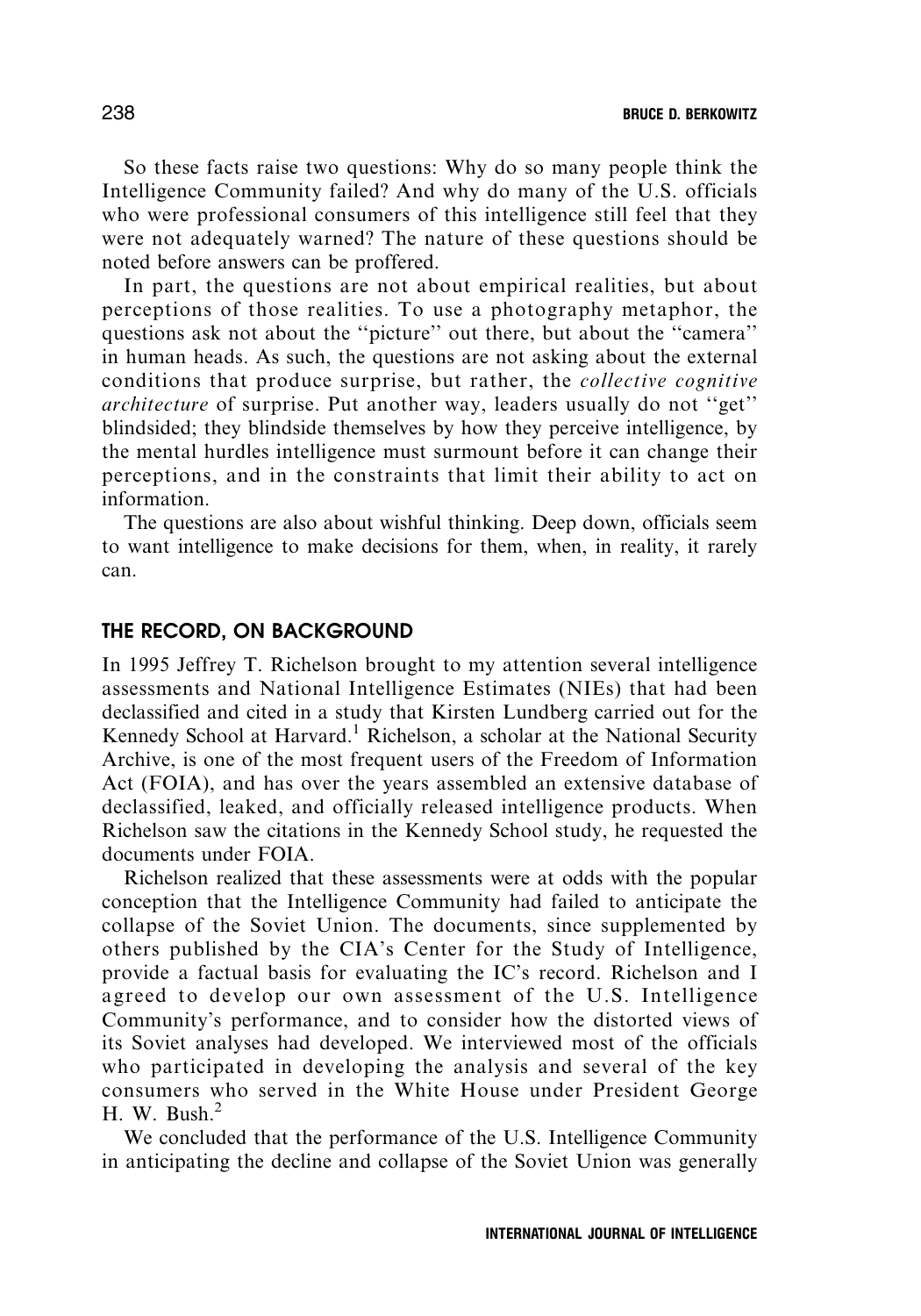So these facts raise two questions: Why do so many people think the Intelligence Community failed? And why do many of the U.S. officials who were professional consumers of this intelligence still feel that they were not adequately warned? The nature of these questions should be noted before answers can be proffered.

In part, the questions are not about empirical realities, but about perceptions of those realities. To use a photography metaphor, the questions ask not about the ''picture'' out there, but about the ''camera'' in human heads. As such, the questions are not asking about the external conditions that produce surprise, but rather, the collective cognitive architecture of surprise. Put another way, leaders usually do not ''get'' blindsided; they blindside themselves by how they perceive intelligence, by the mental hurdles intelligence must surmount before it can change their perceptions, and in the constraints that limit their ability to act on information.

The questions are also about wishful thinking. Deep down, officials seem to want intelligence to make decisions for them, when, in reality, it rarely can.

# THE RECORD, ON BACKGROUND

In 1995 Jeffrey T. Richelson brought to my attention several intelligence assessments and National Intelligence Estimates (NIEs) that had been declassified and cited in a study that Kirsten Lundberg carried out for the Kennedy School at Harvard.<sup>1</sup> Richelson, a scholar at the National Security Archive, is one of the most frequent users of the Freedom of Information Act (FOIA), and has over the years assembled an extensive database of declassified, leaked, and officially released intelligence products. When Richelson saw the citations in the Kennedy School study, he requested the documents under FOIA.

Richelson realized that these assessments were at odds with the popular conception that the Intelligence Community had failed to anticipate the collapse of the Soviet Union. The documents, since supplemented by others published by the CIA's Center for the Study of Intelligence, provide a factual basis for evaluating the IC's record. Richelson and I agreed to develop our own assessment of the U.S. Intelligence Community's performance, and to consider how the distorted views of its Soviet analyses had developed. We interviewed most of the officials who participated in developing the analysis and several of the key consumers who served in the White House under President George H. W. Bush. $<sup>2</sup>$ </sup>

We concluded that the performance of the U.S. Intelligence Community in anticipating the decline and collapse of the Soviet Union was generally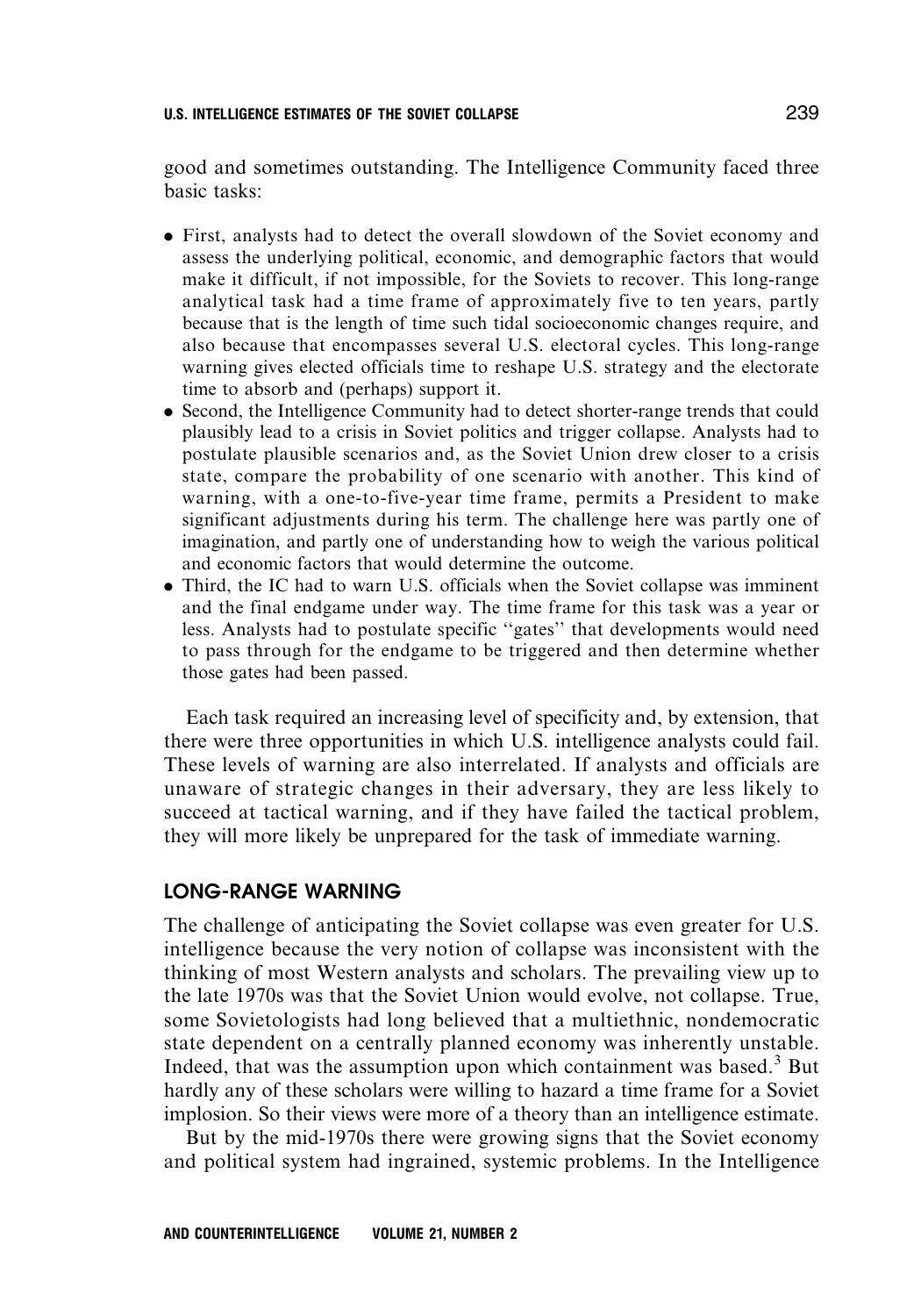good and sometimes outstanding. The Intelligence Community faced three basic tasks:

- . First, analysts had to detect the overall slowdown of the Soviet economy and assess the underlying political, economic, and demographic factors that would make it difficult, if not impossible, for the Soviets to recover. This long-range analytical task had a time frame of approximately five to ten years, partly because that is the length of time such tidal socioeconomic changes require, and also because that encompasses several U.S. electoral cycles. This long-range warning gives elected officials time to reshape U.S. strategy and the electorate time to absorb and (perhaps) support it.
- . Second, the Intelligence Community had to detect shorter-range trends that could plausibly lead to a crisis in Soviet politics and trigger collapse. Analysts had to postulate plausible scenarios and, as the Soviet Union drew closer to a crisis state, compare the probability of one scenario with another. This kind of warning, with a one-to-five-year time frame, permits a President to make significant adjustments during his term. The challenge here was partly one of imagination, and partly one of understanding how to weigh the various political and economic factors that would determine the outcome.
- . Third, the IC had to warn U.S. officials when the Soviet collapse was imminent and the final endgame under way. The time frame for this task was a year or less. Analysts had to postulate specific ''gates'' that developments would need to pass through for the endgame to be triggered and then determine whether those gates had been passed.

Each task required an increasing level of specificity and, by extension, that there were three opportunities in which U.S. intelligence analysts could fail. These levels of warning are also interrelated. If analysts and officials are unaware of strategic changes in their adversary, they are less likely to succeed at tactical warning, and if they have failed the tactical problem, they will more likely be unprepared for the task of immediate warning.

# LONG-RANGE WARNING

The challenge of anticipating the Soviet collapse was even greater for U.S. intelligence because the very notion of collapse was inconsistent with the thinking of most Western analysts and scholars. The prevailing view up to the late 1970s was that the Soviet Union would evolve, not collapse. True, some Sovietologists had long believed that a multiethnic, nondemocratic state dependent on a centrally planned economy was inherently unstable. Indeed, that was the assumption upon which containment was based.<sup>3</sup> But hardly any of these scholars were willing to hazard a time frame for a Soviet implosion. So their views were more of a theory than an intelligence estimate.

But by the mid-1970s there were growing signs that the Soviet economy and political system had ingrained, systemic problems. In the Intelligence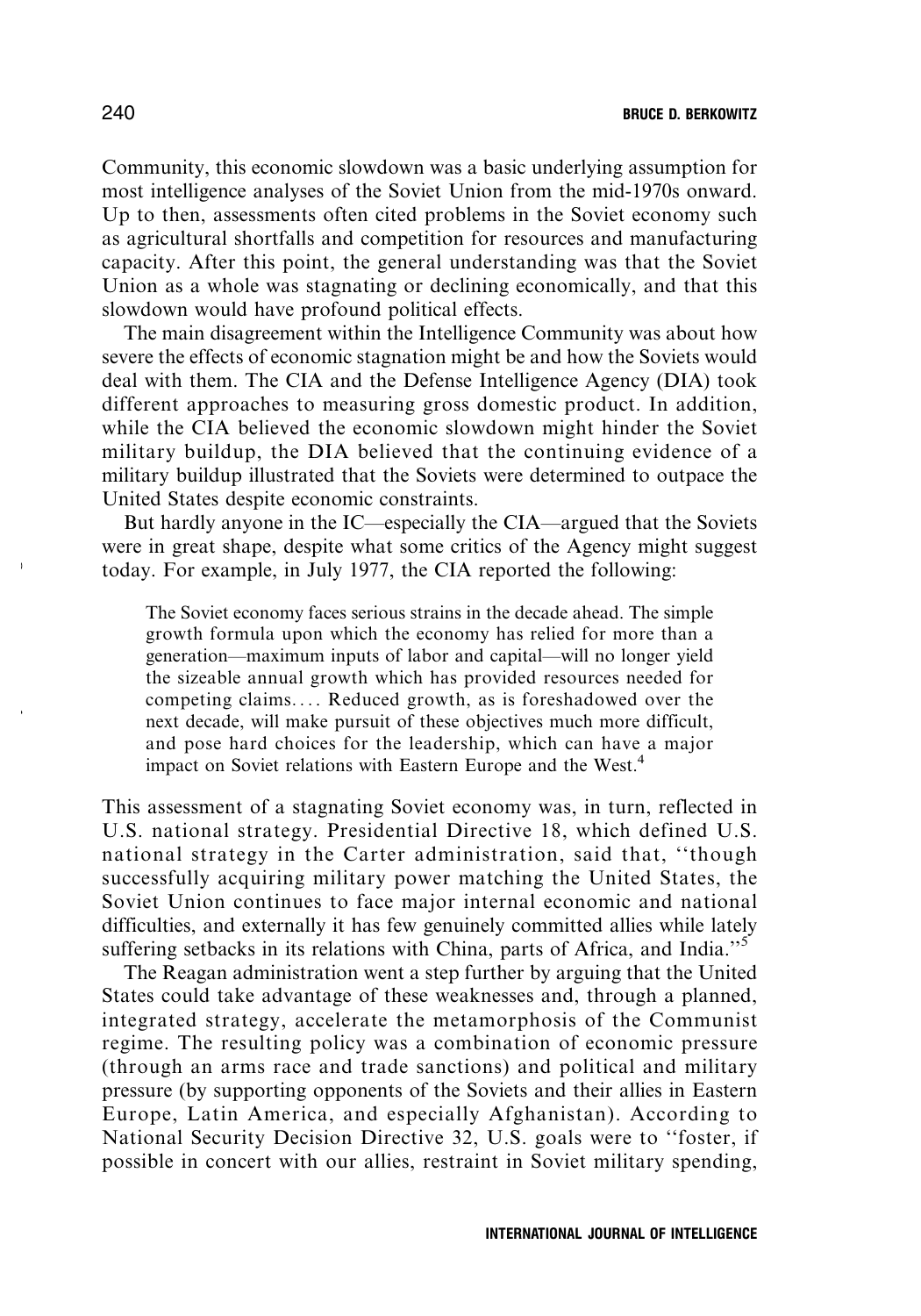Community, this economic slowdown was a basic underlying assumption for most intelligence analyses of the Soviet Union from the mid-1970s onward. Up to then, assessments often cited problems in the Soviet economy such as agricultural shortfalls and competition for resources and manufacturing capacity. After this point, the general understanding was that the Soviet Union as a whole was stagnating or declining economically, and that this slowdown would have profound political effects.

The main disagreement within the Intelligence Community was about how severe the effects of economic stagnation might be and how the Soviets would deal with them. The CIA and the Defense Intelligence Agency (DIA) took different approaches to measuring gross domestic product. In addition, while the CIA believed the economic slowdown might hinder the Soviet military buildup, the DIA believed that the continuing evidence of a military buildup illustrated that the Soviets were determined to outpace the United States despite economic constraints.

But hardly anyone in the IC—especially the CIA—argued that the Soviets were in great shape, despite what some critics of the Agency might suggest today. For example, in July 1977, the CIA reported the following:

The Soviet economy faces serious strains in the decade ahead. The simple growth formula upon which the economy has relied for more than a generation—maximum inputs of labor and capital—will no longer yield the sizeable annual growth which has provided resources needed for competing claims... . Reduced growth, as is foreshadowed over the next decade, will make pursuit of these objectives much more difficult, and pose hard choices for the leadership, which can have a major impact on Soviet relations with Eastern Europe and the West.<sup>4</sup>

This assessment of a stagnating Soviet economy was, in turn, reflected in U.S. national strategy. Presidential Directive 18, which defined U.S. national strategy in the Carter administration, said that, ''though successfully acquiring military power matching the United States, the Soviet Union continues to face major internal economic and national difficulties, and externally it has few genuinely committed allies while lately suffering setbacks in its relations with China, parts of Africa, and India.<sup>55</sup>

The Reagan administration went a step further by arguing that the United States could take advantage of these weaknesses and, through a planned, integrated strategy, accelerate the metamorphosis of the Communist regime. The resulting policy was a combination of economic pressure (through an arms race and trade sanctions) and political and military pressure (by supporting opponents of the Soviets and their allies in Eastern Europe, Latin America, and especially Afghanistan). According to National Security Decision Directive 32, U.S. goals were to ''foster, if possible in concert with our allies, restraint in Soviet military spending,

Downloaded by [ ] at 12:58 09 August 2011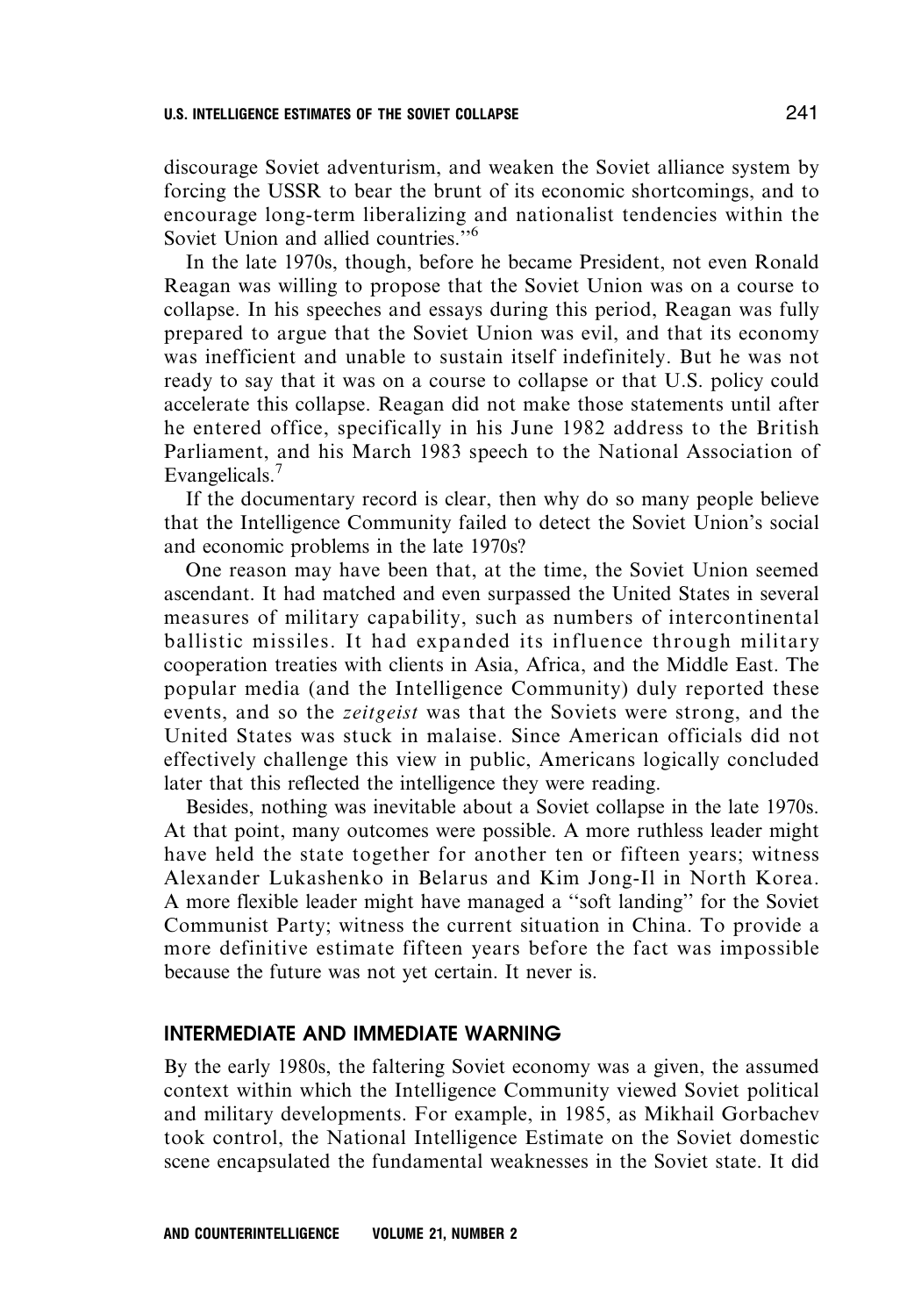discourage Soviet adventurism, and weaken the Soviet alliance system by forcing the USSR to bear the brunt of its economic shortcomings, and to encourage long-term liberalizing and nationalist tendencies within the Soviet Union and allied countries."<sup>6</sup>

In the late 1970s, though, before he became President, not even Ronald Reagan was willing to propose that the Soviet Union was on a course to collapse. In his speeches and essays during this period, Reagan was fully prepared to argue that the Soviet Union was evil, and that its economy was inefficient and unable to sustain itself indefinitely. But he was not ready to say that it was on a course to collapse or that U.S. policy could accelerate this collapse. Reagan did not make those statements until after he entered office, specifically in his June 1982 address to the British Parliament, and his March 1983 speech to the National Association of Evangelicals.<sup>7</sup>

If the documentary record is clear, then why do so many people believe that the Intelligence Community failed to detect the Soviet Union's social and economic problems in the late 1970s?

One reason may have been that, at the time, the Soviet Union seemed ascendant. It had matched and even surpassed the United States in several measures of military capability, such as numbers of intercontinental ballistic missiles. It had expanded its influence through military cooperation treaties with clients in Asia, Africa, and the Middle East. The popular media (and the Intelligence Community) duly reported these events, and so the *zeitgeist* was that the Soviets were strong, and the United States was stuck in malaise. Since American officials did not effectively challenge this view in public, Americans logically concluded later that this reflected the intelligence they were reading.

Besides, nothing was inevitable about a Soviet collapse in the late 1970s. At that point, many outcomes were possible. A more ruthless leader might have held the state together for another ten or fifteen years; witness Alexander Lukashenko in Belarus and Kim Jong-Il in North Korea. A more flexible leader might have managed a ''soft landing'' for the Soviet Communist Party; witness the current situation in China. To provide a more definitive estimate fifteen years before the fact was impossible because the future was not yet certain. It never is.

#### INTERMEDIATE AND IMMEDIATE WARNING

By the early 1980s, the faltering Soviet economy was a given, the assumed context within which the Intelligence Community viewed Soviet political and military developments. For example, in 1985, as Mikhail Gorbachev took control, the National Intelligence Estimate on the Soviet domestic scene encapsulated the fundamental weaknesses in the Soviet state. It did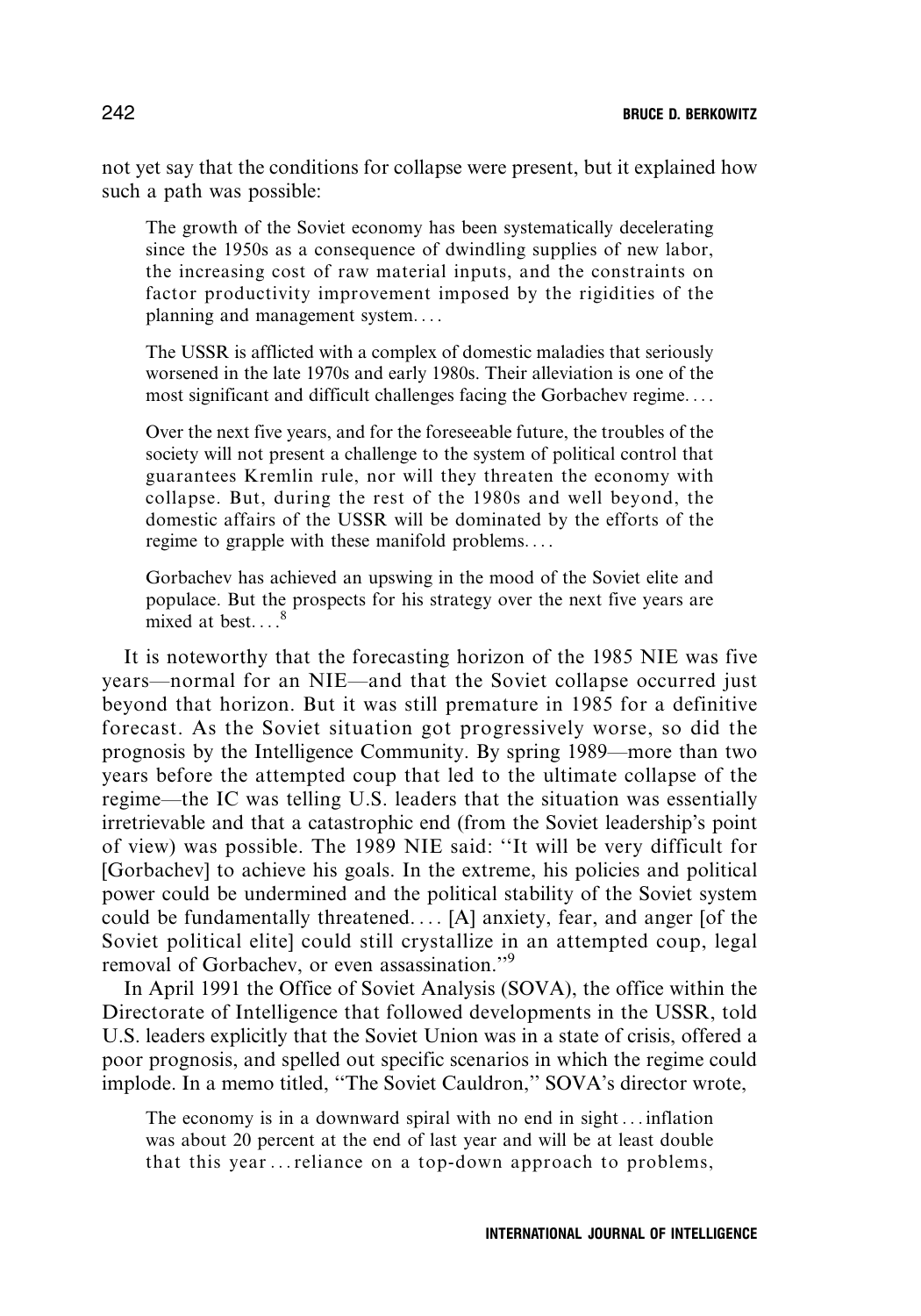not yet say that the conditions for collapse were present, but it explained how such a path was possible:

The growth of the Soviet economy has been systematically decelerating since the 1950s as a consequence of dwindling supplies of new labor, the increasing cost of raw material inputs, and the constraints on factor productivity improvement imposed by the rigidities of the planning and management system... .

The USSR is afflicted with a complex of domestic maladies that seriously worsened in the late 1970s and early 1980s. Their alleviation is one of the most significant and difficult challenges facing the Gorbachev regime... .

Over the next five years, and for the foreseeable future, the troubles of the society will not present a challenge to the system of political control that guarantees Kremlin rule, nor will they threaten the economy with collapse. But, during the rest of the 1980s and well beyond, the domestic affairs of the USSR will be dominated by the efforts of the regime to grapple with these manifold problems... .

Gorbachev has achieved an upswing in the mood of the Soviet elite and populace. But the prospects for his strategy over the next five years are mixed at best....<sup>8</sup>

It is noteworthy that the forecasting horizon of the 1985 NIE was five years—normal for an NIE—and that the Soviet collapse occurred just beyond that horizon. But it was still premature in 1985 for a definitive forecast. As the Soviet situation got progressively worse, so did the prognosis by the Intelligence Community. By spring 1989—more than two years before the attempted coup that led to the ultimate collapse of the regime—the IC was telling U.S. leaders that the situation was essentially irretrievable and that a catastrophic end (from the Soviet leadership's point of view) was possible. The 1989 NIE said: ''It will be very difficult for [Gorbachev] to achieve his goals. In the extreme, his policies and political power could be undermined and the political stability of the Soviet system could be fundamentally threatened. ... [A] anxiety, fear, and anger [of the Soviet political elite] could still crystallize in an attempted coup, legal removal of Gorbachev, or even assassination.''9

In April 1991 the Office of Soviet Analysis (SOVA), the office within the Directorate of Intelligence that followed developments in the USSR, told U.S. leaders explicitly that the Soviet Union was in a state of crisis, offered a poor prognosis, and spelled out specific scenarios in which the regime could implode. In a memo titled, ''The Soviet Cauldron,'' SOVA's director wrote,

The economy is in a downward spiral with no end in sight ... inflation was about 20 percent at the end of last year and will be at least double that this year ...reliance on a top-down approach to problems,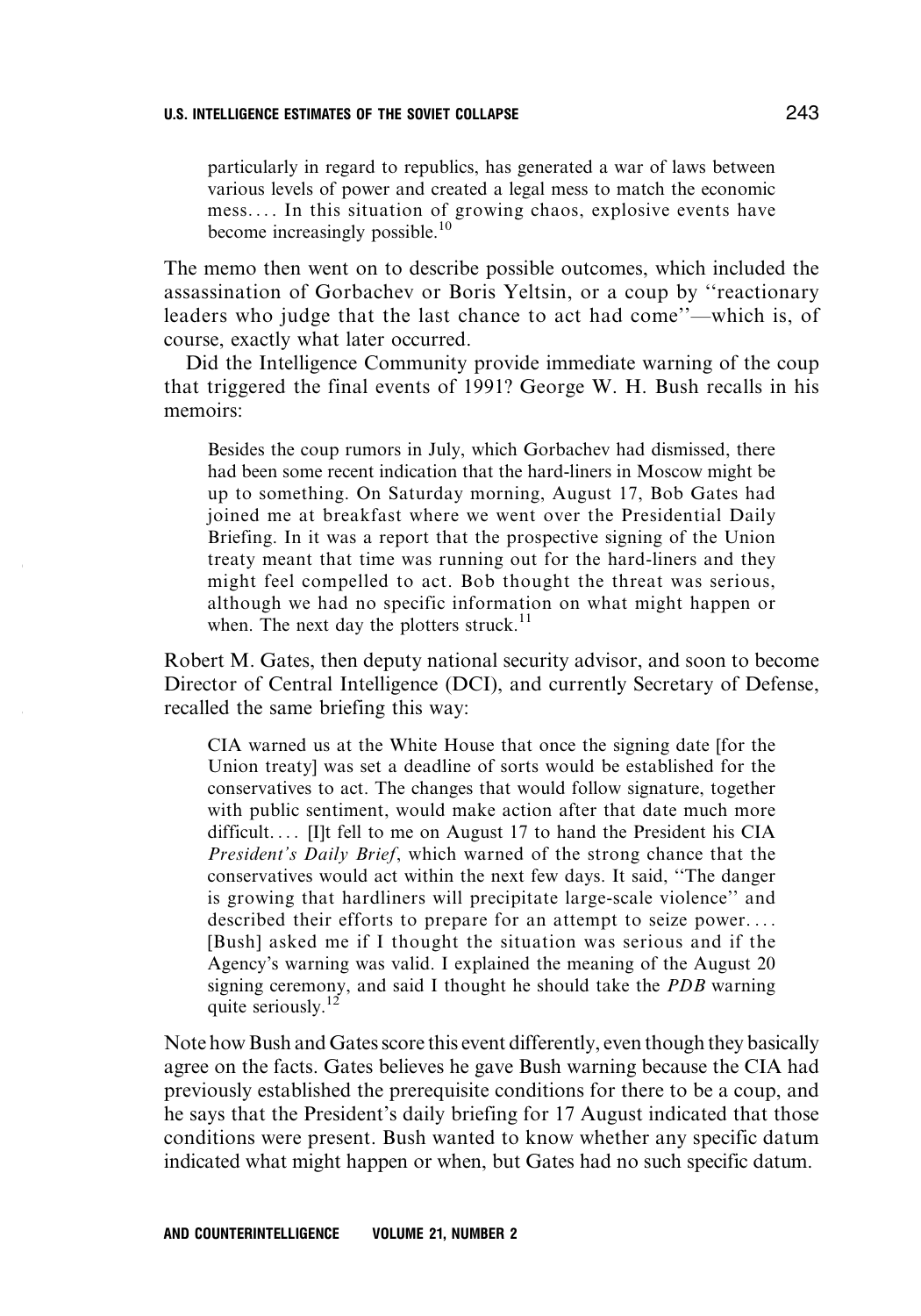particularly in regard to republics, has generated a war of laws between various levels of power and created a legal mess to match the economic mess... . In this situation of growing chaos, explosive events have become increasingly possible.<sup>10</sup>

The memo then went on to describe possible outcomes, which included the assassination of Gorbachev or Boris Yeltsin, or a coup by ''reactionary leaders who judge that the last chance to act had come''—which is, of course, exactly what later occurred.

Did the Intelligence Community provide immediate warning of the coup that triggered the final events of 1991? George W. H. Bush recalls in his memoirs:

Besides the coup rumors in July, which Gorbachev had dismissed, there had been some recent indication that the hard-liners in Moscow might be up to something. On Saturday morning, August 17, Bob Gates had joined me at breakfast where we went over the Presidential Daily Briefing. In it was a report that the prospective signing of the Union treaty meant that time was running out for the hard-liners and they might feel compelled to act. Bob thought the threat was serious, although we had no specific information on what might happen or when. The next day the plotters struck.<sup>11</sup>

Robert M. Gates, then deputy national security advisor, and soon to become Director of Central Intelligence (DCI), and currently Secretary of Defense, recalled the same briefing this way:

CIA warned us at the White House that once the signing date [for the Union treaty] was set a deadline of sorts would be established for the conservatives to act. The changes that would follow signature, together with public sentiment, would make action after that date much more difficult. ... [I]t fell to me on August 17 to hand the President his CIA President's Daily Brief, which warned of the strong chance that the conservatives would act within the next few days. It said, ''The danger is growing that hardliners will precipitate large-scale violence'' and described their efforts to prepare for an attempt to seize power. ... [Bush] asked me if I thought the situation was serious and if the Agency's warning was valid. I explained the meaning of the August 20 signing ceremony, and said I thought he should take the PDB warning quite seriously.<sup>12</sup>

Note how Bush and Gates score this event differently, even though they basically agree on the facts. Gates believes he gave Bush warning because the CIA had previously established the prerequisite conditions for there to be a coup, and he says that the President's daily briefing for 17 August indicated that those conditions were present. Bush wanted to know whether any specific datum indicated what might happen or when, but Gates had no such specific datum.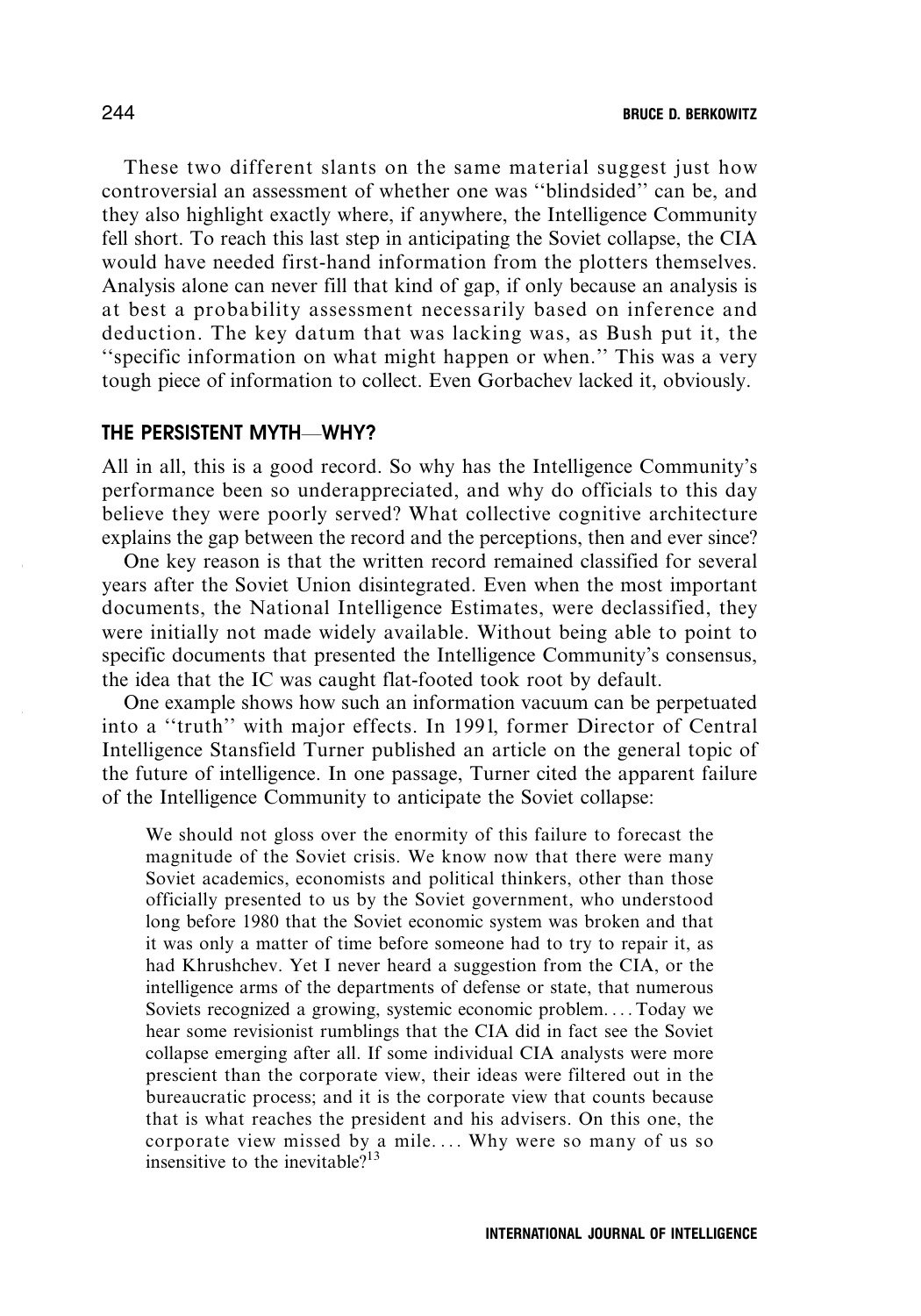These two different slants on the same material suggest just how controversial an assessment of whether one was ''blindsided'' can be, and they also highlight exactly where, if anywhere, the Intelligence Community fell short. To reach this last step in anticipating the Soviet collapse, the CIA would have needed first-hand information from the plotters themselves. Analysis alone can never fill that kind of gap, if only because an analysis is at best a probability assessment necessarily based on inference and deduction. The key datum that was lacking was, as Bush put it, the ''specific information on what might happen or when.'' This was a very tough piece of information to collect. Even Gorbachev lacked it, obviously.

# THE PERSISTENT MYTH—WHY?

All in all, this is a good record. So why has the Intelligence Community's performance been so underappreciated, and why do officials to this day believe they were poorly served? What collective cognitive architecture explains the gap between the record and the perceptions, then and ever since?

One key reason is that the written record remained classified for several years after the Soviet Union disintegrated. Even when the most important documents, the National Intelligence Estimates, were declassified, they were initially not made widely available. Without being able to point to specific documents that presented the Intelligence Community's consensus, the idea that the IC was caught flat-footed took root by default.

One example shows how such an information vacuum can be perpetuated into a ''truth'' with major effects. In 1991, former Director of Central Intelligence Stansfield Turner published an article on the general topic of the future of intelligence. In one passage, Turner cited the apparent failure of the Intelligence Community to anticipate the Soviet collapse:

We should not gloss over the enormity of this failure to forecast the magnitude of the Soviet crisis. We know now that there were many Soviet academics, economists and political thinkers, other than those officially presented to us by the Soviet government, who understood long before 1980 that the Soviet economic system was broken and that it was only a matter of time before someone had to try to repair it, as had Khrushchev. Yet I never heard a suggestion from the CIA, or the intelligence arms of the departments of defense or state, that numerous Soviets recognized a growing, systemic economic problem. ... Today we hear some revisionist rumblings that the CIA did in fact see the Soviet collapse emerging after all. If some individual CIA analysts were more prescient than the corporate view, their ideas were filtered out in the bureaucratic process; and it is the corporate view that counts because that is what reaches the president and his advisers. On this one, the corporate view missed by a mile. ... Why were so many of us so insensitive to the inevitable $2^{13}$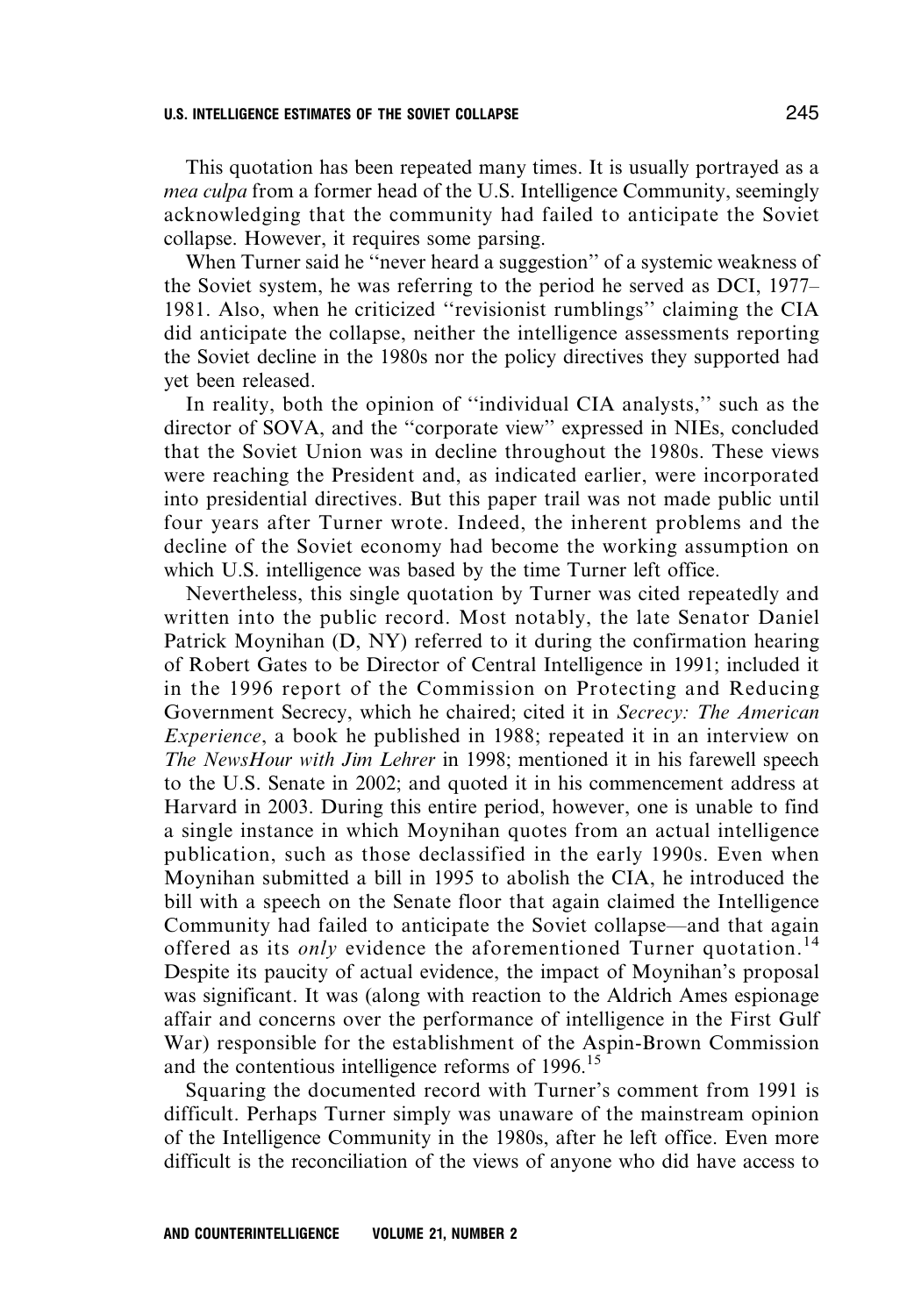This quotation has been repeated many times. It is usually portrayed as a mea culpa from a former head of the U.S. Intelligence Community, seemingly acknowledging that the community had failed to anticipate the Soviet collapse. However, it requires some parsing.

When Turner said he "never heard a suggestion" of a systemic weakness of the Soviet system, he was referring to the period he served as DCI, 1977– 1981. Also, when he criticized ''revisionist rumblings'' claiming the CIA did anticipate the collapse, neither the intelligence assessments reporting the Soviet decline in the 1980s nor the policy directives they supported had yet been released.

In reality, both the opinion of ''individual CIA analysts,'' such as the director of SOVA, and the ''corporate view'' expressed in NIEs, concluded that the Soviet Union was in decline throughout the 1980s. These views were reaching the President and, as indicated earlier, were incorporated into presidential directives. But this paper trail was not made public until four years after Turner wrote. Indeed, the inherent problems and the decline of the Soviet economy had become the working assumption on which U.S. intelligence was based by the time Turner left office.

Nevertheless, this single quotation by Turner was cited repeatedly and written into the public record. Most notably, the late Senator Daniel Patrick Moynihan (D, NY) referred to it during the confirmation hearing of Robert Gates to be Director of Central Intelligence in 1991; included it in the 1996 report of the Commission on Protecting and Reducing Government Secrecy, which he chaired; cited it in Secrecy: The American Experience, a book he published in 1988; repeated it in an interview on The NewsHour with Jim Lehrer in 1998; mentioned it in his farewell speech to the U.S. Senate in 2002; and quoted it in his commencement address at Harvard in 2003. During this entire period, however, one is unable to find a single instance in which Moynihan quotes from an actual intelligence publication, such as those declassified in the early 1990s. Even when Moynihan submitted a bill in 1995 to abolish the CIA, he introduced the bill with a speech on the Senate floor that again claimed the Intelligence Community had failed to anticipate the Soviet collapse—and that again offered as its *only* evidence the aforementioned Turner quotation.<sup>14</sup> Despite its paucity of actual evidence, the impact of Moynihan's proposal was significant. It was (along with reaction to the Aldrich Ames espionage affair and concerns over the performance of intelligence in the First Gulf War) responsible for the establishment of the Aspin-Brown Commission and the contentious intelligence reforms of 1996.<sup>15</sup>

Squaring the documented record with Turner's comment from 1991 is difficult. Perhaps Turner simply was unaware of the mainstream opinion of the Intelligence Community in the 1980s, after he left office. Even more difficult is the reconciliation of the views of anyone who did have access to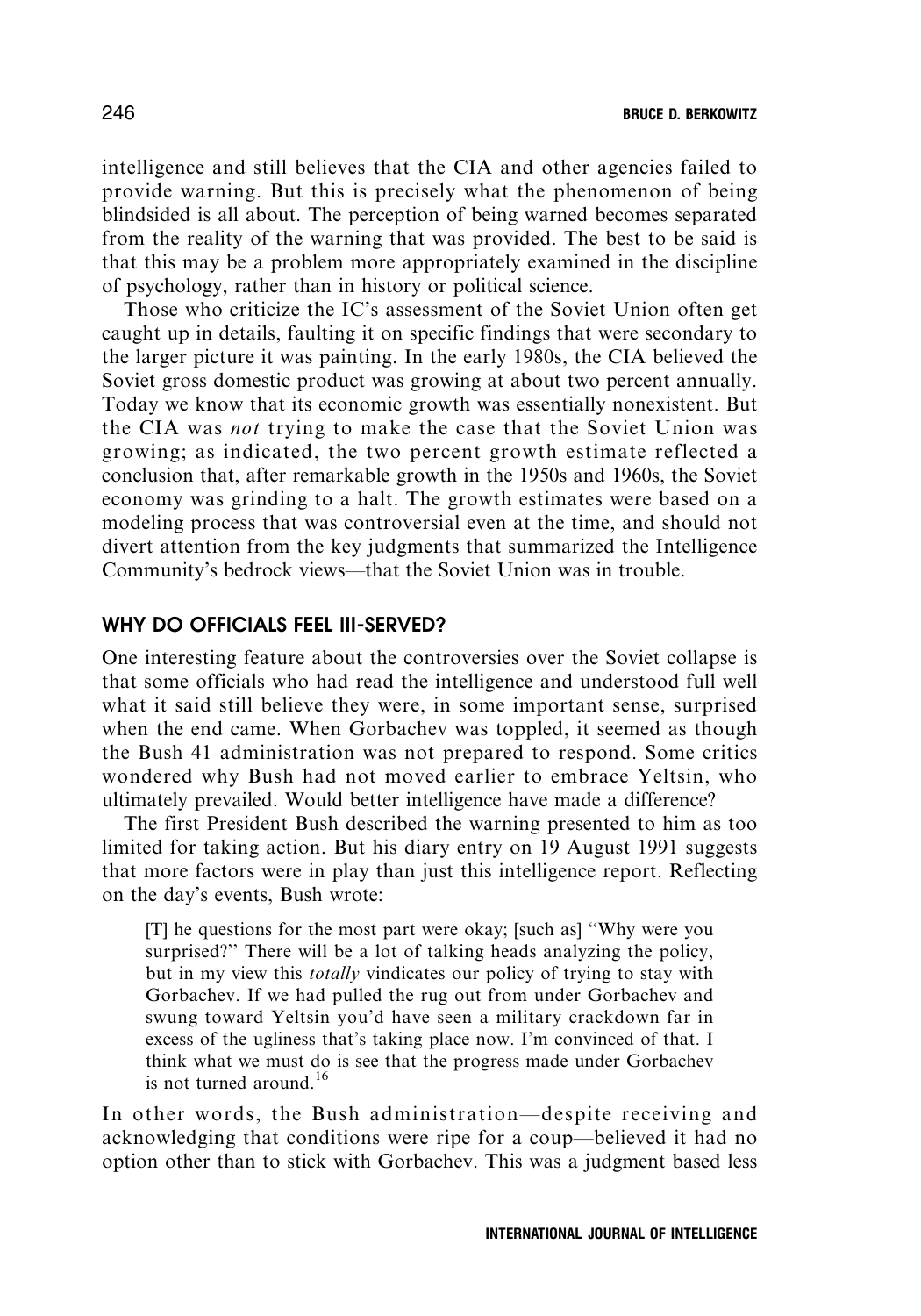intelligence and still believes that the CIA and other agencies failed to provide warning. But this is precisely what the phenomenon of being blindsided is all about. The perception of being warned becomes separated from the reality of the warning that was provided. The best to be said is that this may be a problem more appropriately examined in the discipline of psychology, rather than in history or political science.

Those who criticize the IC's assessment of the Soviet Union often get caught up in details, faulting it on specific findings that were secondary to the larger picture it was painting. In the early 1980s, the CIA believed the Soviet gross domestic product was growing at about two percent annually. Today we know that its economic growth was essentially nonexistent. But the CIA was not trying to make the case that the Soviet Union was growing; as indicated, the two percent growth estimate reflected a conclusion that, after remarkable growth in the 1950s and 1960s, the Soviet economy was grinding to a halt. The growth estimates were based on a modeling process that was controversial even at the time, and should not divert attention from the key judgments that summarized the Intelligence Community's bedrock views—that the Soviet Union was in trouble.

# WHY DO OFFICIALS FEEL III-SERVED?

One interesting feature about the controversies over the Soviet collapse is that some officials who had read the intelligence and understood full well what it said still believe they were, in some important sense, surprised when the end came. When Gorbachev was toppled, it seemed as though the Bush 41 administration was not prepared to respond. Some critics wondered why Bush had not moved earlier to embrace Yeltsin, who ultimately prevailed. Would better intelligence have made a difference?

The first President Bush described the warning presented to him as too limited for taking action. But his diary entry on 19 August 1991 suggests that more factors were in play than just this intelligence report. Reflecting on the day's events, Bush wrote:

[T] he questions for the most part were okay; [such as] ''Why were you surprised?'' There will be a lot of talking heads analyzing the policy, but in my view this *totally* vindicates our policy of trying to stay with Gorbachev. If we had pulled the rug out from under Gorbachev and swung toward Yeltsin you'd have seen a military crackdown far in excess of the ugliness that's taking place now. I'm convinced of that. I think what we must do is see that the progress made under Gorbachev is not turned around.<sup>16</sup>

In other words, the Bush administration—despite receiving and acknowledging that conditions were ripe for a coup—believed it had no option other than to stick with Gorbachev. This was a judgment based less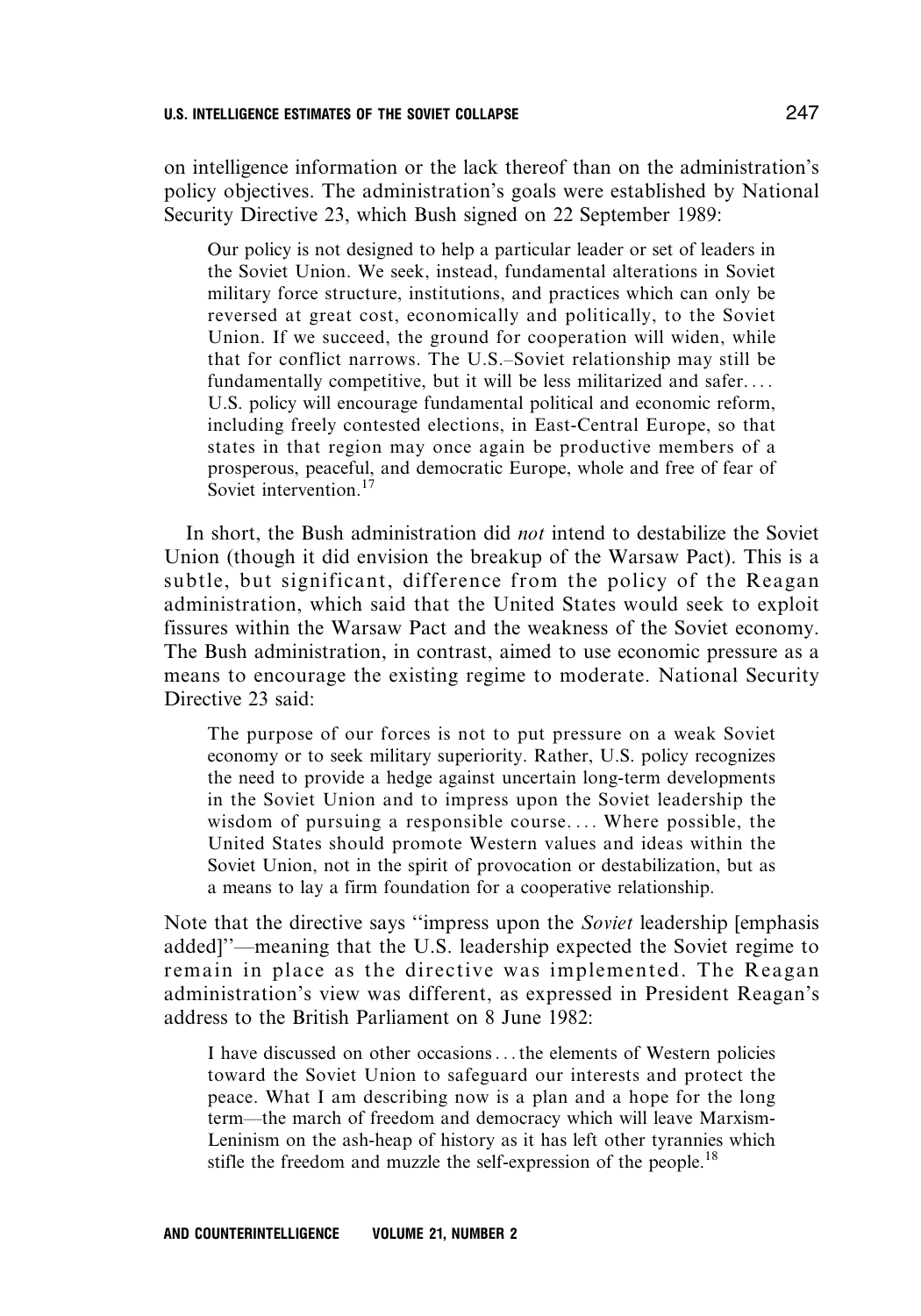on intelligence information or the lack thereof than on the administration's policy objectives. The administration's goals were established by National Security Directive 23, which Bush signed on 22 September 1989:

Our policy is not designed to help a particular leader or set of leaders in the Soviet Union. We seek, instead, fundamental alterations in Soviet military force structure, institutions, and practices which can only be reversed at great cost, economically and politically, to the Soviet Union. If we succeed, the ground for cooperation will widen, while that for conflict narrows. The U.S.–Soviet relationship may still be fundamentally competitive, but it will be less militarized and safer. ... U.S. policy will encourage fundamental political and economic reform, including freely contested elections, in East-Central Europe, so that states in that region may once again be productive members of a prosperous, peaceful, and democratic Europe, whole and free of fear of Soviet intervention<sup>17</sup>

In short, the Bush administration did *not* intend to destabilize the Soviet Union (though it did envision the breakup of the Warsaw Pact). This is a subtle, but significant, difference from the policy of the Reagan administration, which said that the United States would seek to exploit fissures within the Warsaw Pact and the weakness of the Soviet economy. The Bush administration, in contrast, aimed to use economic pressure as a means to encourage the existing regime to moderate. National Security Directive 23 said:

The purpose of our forces is not to put pressure on a weak Soviet economy or to seek military superiority. Rather, U.S. policy recognizes the need to provide a hedge against uncertain long-term developments in the Soviet Union and to impress upon the Soviet leadership the wisdom of pursuing a responsible course. ... Where possible, the United States should promote Western values and ideas within the Soviet Union, not in the spirit of provocation or destabilization, but as a means to lay a firm foundation for a cooperative relationship.

Note that the directive says ''impress upon the Soviet leadership [emphasis added]''—meaning that the U.S. leadership expected the Soviet regime to remain in place as the directive was implemented. The Reagan administration's view was different, as expressed in President Reagan's address to the British Parliament on 8 June 1982:

I have discussed on other occasions... the elements of Western policies toward the Soviet Union to safeguard our interests and protect the peace. What I am describing now is a plan and a hope for the long term—the march of freedom and democracy which will leave Marxism-Leninism on the ash-heap of history as it has left other tyrannies which stifle the freedom and muzzle the self-expression of the people.<sup>18</sup>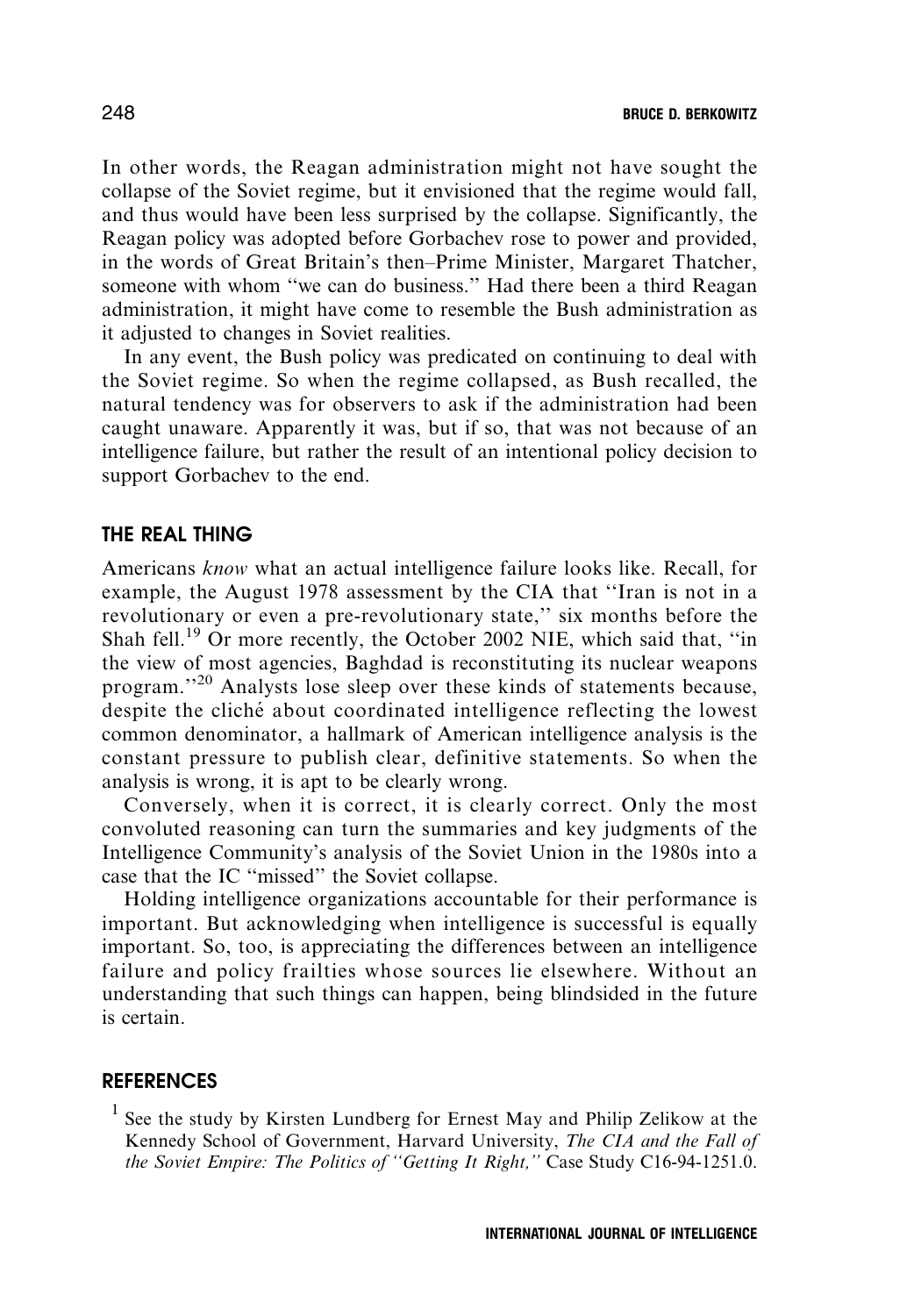In other words, the Reagan administration might not have sought the collapse of the Soviet regime, but it envisioned that the regime would fall, and thus would have been less surprised by the collapse. Significantly, the Reagan policy was adopted before Gorbachev rose to power and provided, in the words of Great Britain's then–Prime Minister, Margaret Thatcher, someone with whom ''we can do business.'' Had there been a third Reagan administration, it might have come to resemble the Bush administration as it adjusted to changes in Soviet realities.

In any event, the Bush policy was predicated on continuing to deal with the Soviet regime. So when the regime collapsed, as Bush recalled, the natural tendency was for observers to ask if the administration had been caught unaware. Apparently it was, but if so, that was not because of an intelligence failure, but rather the result of an intentional policy decision to support Gorbachev to the end.

# THE REAL THING

Americans know what an actual intelligence failure looks like. Recall, for example, the August 1978 assessment by the CIA that ''Iran is not in a revolutionary or even a pre-revolutionary state,'' six months before the Shah fell.<sup>19</sup> Or more recently, the October 2002 NIE, which said that, "in the view of most agencies, Baghdad is reconstituting its nuclear weapons program.''<sup>20</sup> Analysts lose sleep over these kinds of statements because, despite the cliche<sup>s</sup> about coordinated intelligence reflecting the lowest common denominator, a hallmark of American intelligence analysis is the constant pressure to publish clear, definitive statements. So when the analysis is wrong, it is apt to be clearly wrong.

Conversely, when it is correct, it is clearly correct. Only the most convoluted reasoning can turn the summaries and key judgments of the Intelligence Community's analysis of the Soviet Union in the 1980s into a case that the IC ''missed'' the Soviet collapse.

Holding intelligence organizations accountable for their performance is important. But acknowledging when intelligence is successful is equally important. So, too, is appreciating the differences between an intelligence failure and policy frailties whose sources lie elsewhere. Without an understanding that such things can happen, being blindsided in the future is certain.

# **REFERENCES**

See the study by Kirsten Lundberg for Ernest May and Philip Zelikow at the Kennedy School of Government, Harvard University, The CIA and the Fall of the Soviet Empire: The Politics of ''Getting It Right,'' Case Study C16-94-1251.0.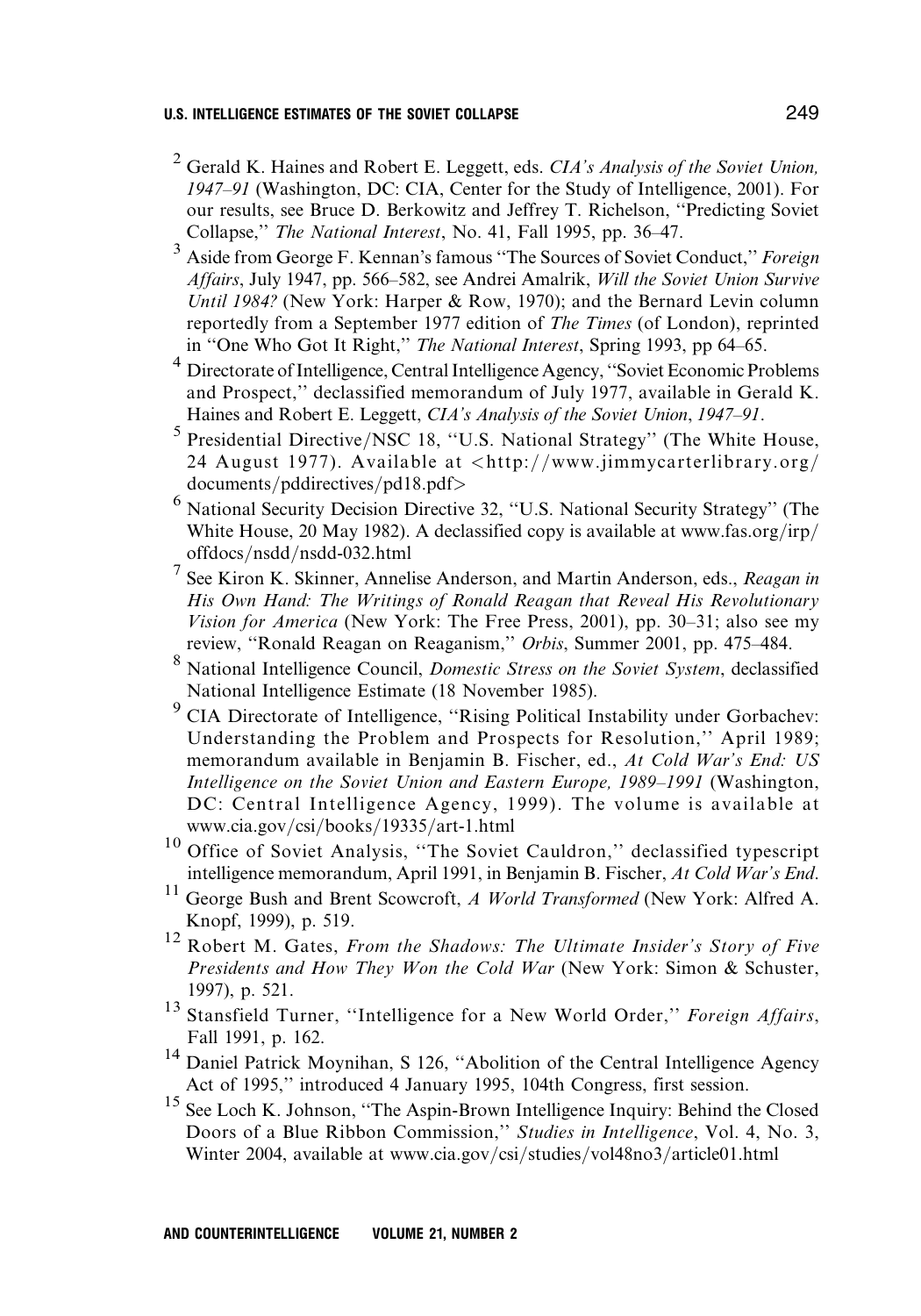- <sup>2</sup> Gerald K. Haines and Robert E. Leggett, eds. *CIA's Analysis of the Soviet Union*, 1947–91 (Washington, DC: CIA, Center for the Study of Intelligence, 2001). For our results, see Bruce D. Berkowitz and Jeffrey T. Richelson, ''Predicting Soviet Collapse,'' The National Interest, No. 41, Fall 1995, pp. 36–47.
- <sup>3</sup> Aside from George F. Kennan's famous "The Sources of Soviet Conduct," Foreign Affairs, July 1947, pp. 566–582, see Andrei Amalrik, Will the Soviet Union Survive Until 1984? (New York: Harper & Row, 1970); and the Bernard Levin column reportedly from a September 1977 edition of The Times (of London), reprinted in "One Who Got It Right," The National Interest, Spring 1993, pp 64–65.
- <sup>4</sup> Directorate of Intelligence, Central Intelligence Agency, ''Soviet Economic Problems and Prospect,'' declassified memorandum of July 1977, available in Gerald K.
- Haines and Robert E. Leggett, *CIA's Analysis of the Soviet Union*, 1947–91.<br><sup>5</sup> Presidential Directive/NSC 18, "U.S. National Strategy" (The White House, 24 August 1977). Available at <http://www.jimmycarterlibrary.org/ documents/pddirectives/pd18.pdf>
- National Security Decision Directive 32, "U.S. National Security Strategy" (The White House, 20 May 1982). A declassified copy is available at www.fas.org/irp/ offdocs/nsdd/nsdd-032.html
- $\frac{7}{7}$  See Kiron K. Skinner, Annelise Anderson, and Martin Anderson, eds., *Reagan in* His Own Hand: The Writings of Ronald Reagan that Reveal His Revolutionary Vision for America (New York: The Free Press, 2001), pp. 30–31; also see my review, "Ronald Reagan on Reaganism," Orbis, Summer 2001, pp. 475-484.
- National Intelligence Council, Domestic Stress on the Soviet System, declassified National Intelligence Estimate (18 November 1985).
- <sup>9</sup> CIA Directorate of Intelligence, ''Rising Political Instability under Gorbachev: Understanding the Problem and Prospects for Resolution,'' April 1989; memorandum available in Benjamin B. Fischer, ed., At Cold War's End: US Intelligence on the Soviet Union and Eastern Europe, 1989–1991 (Washington, DC: Central Intelligence Agency, 1999). The volume is available at www.cia.gov/csi/books/19335/art-1.html
- <sup>10</sup> Office of Soviet Analysis, ''The Soviet Cauldron,'' declassified typescript intelligence memorandum, April 1991, in Benjamin B. Fischer, At Cold War's End. <sup>11</sup> George Bush and Brent Scowcroft, A World Transformed (New York: Alfred A.
- Knopf, 1999), p. 519.
- $12$  Robert M. Gates, From the Shadows: The Ultimate Insider's Story of Five Presidents and How They Won the Cold War (New York: Simon & Schuster, 1997), p. 521.
- <sup>13</sup> Stansfield Turner, "Intelligence for a New World Order," Foreign Affairs, Fall 1991, p. 162.
- <sup>14</sup> Daniel Patrick Moynihan, S 126, "Abolition of the Central Intelligence Agency Act of 1995,'' introduced 4 January 1995, 104th Congress, first session.
- <sup>15</sup> See Loch K. Johnson, ''The Aspin-Brown Intelligence Inquiry: Behind the Closed Doors of a Blue Ribbon Commission,'' Studies in Intelligence, Vol. 4, No. 3, Winter 2004, available at www.cia.gov/csi/studies/vol48no3/article01.html